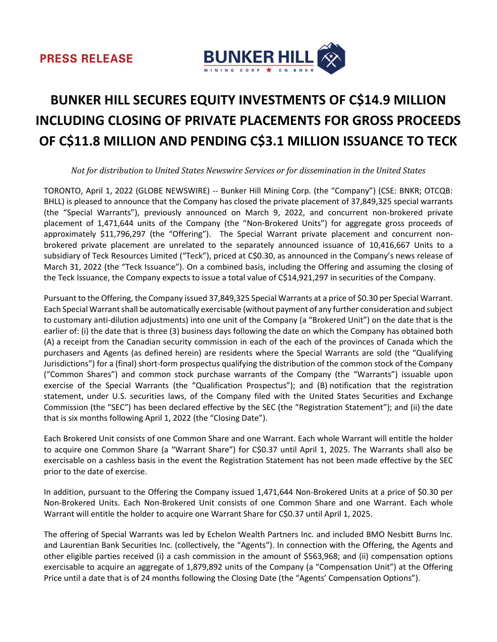

# **BUNKER HILL SECURES EQUITY INVESTMENTS OF C\$14.9 MILLION INCLUDING CLOSING OF PRIVATE PLACEMENTS FOR GROSS PROCEEDS OF C\$11.8 MILLION AND PENDING C\$3.1 MILLION ISSUANCE TO TECK**

## *Not for distribution to United States Newswire Services or for dissemination in the United States*

TORONTO, April 1, 2022 (GLOBE NEWSWIRE) -- Bunker Hill Mining Corp. (the "Company") (CSE: BNKR; OTCQB: BHLL) is pleased to announce that the Company has closed the private placement of 37,849,325 special warrants (the "Special Warrants"), previously announced on March 9, 2022, and concurrent non-brokered private placement of 1,471,644 units of the Company (the "Non-Brokered Units") for aggregate gross proceeds of approximately \$11,796,297 (the "Offering"). The Special Warrant private placement and concurrent nonbrokered private placement are unrelated to the separately announced issuance of 10,416,667 Units to a subsidiary of Teck Resources Limited ("Teck"), priced at C\$0.30, as announced in the Company's news release of March 31, 2022 (the "Teck Issuance"). On a combined basis, including the Offering and assuming the closing of the Teck Issuance, the Company expects to issue a total value of C\$14,921,297 in securities of the Company.

Pursuant to the Offering, the Company issued 37,849,325 Special Warrants at a price of \$0.30 per Special Warrant. Each Special Warrant shall be automatically exercisable (without payment of any further consideration and subject to customary anti-dilution adjustments) into one unit of the Company (a "Brokered Unit") on the date that is the earlier of: (i) the date that is three (3) business days following the date on which the Company has obtained both (A) a receipt from the Canadian security commission in each of the each of the provinces of Canada which the purchasers and Agents (as defined herein) are residents where the Special Warrants are sold (the "Qualifying Jurisdictions") for a (final) short-form prospectus qualifying the distribution of the common stock of the Company ("Common Shares") and common stock purchase warrants of the Company (the "Warrants") issuable upon exercise of the Special Warrants (the "Qualification Prospectus"); and (B) notification that the registration statement, under U.S. securities laws, of the Company filed with the United States Securities and Exchange Commission (the "SEC") has been declared effective by the SEC (the "Registration Statement"); and (ii) the date that is six months following April 1, 2022 (the "Closing Date").

Each Brokered Unit consists of one Common Share and one Warrant. Each whole Warrant will entitle the holder to acquire one Common Share (a "Warrant Share") for C\$0.37 until April 1, 2025. The Warrants shall also be exercisable on a cashless basis in the event the Registration Statement has not been made effective by the SEC prior to the date of exercise.

In addition, pursuant to the Offering the Company issued 1,471,644 Non-Brokered Units at a price of \$0.30 per Non-Brokered Units. Each Non-Brokered Unit consists of one Common Share and one Warrant. Each whole Warrant will entitle the holder to acquire one Warrant Share for C\$0.37 until April 1, 2025.

The offering of Special Warrants was led by Echelon Wealth Partners Inc. and included BMO Nesbitt Burns Inc. and Laurentian Bank Securities Inc. (collectively, the "Agents"). In connection with the Offering, the Agents and other eligible parties received (i) a cash commission in the amount of \$563,968; and (ii) compensation options exercisable to acquire an aggregate of 1,879,892 units of the Company (a "Compensation Unit") at the Offering Price until a date that is of 24 months following the Closing Date (the "Agents' Compensation Options").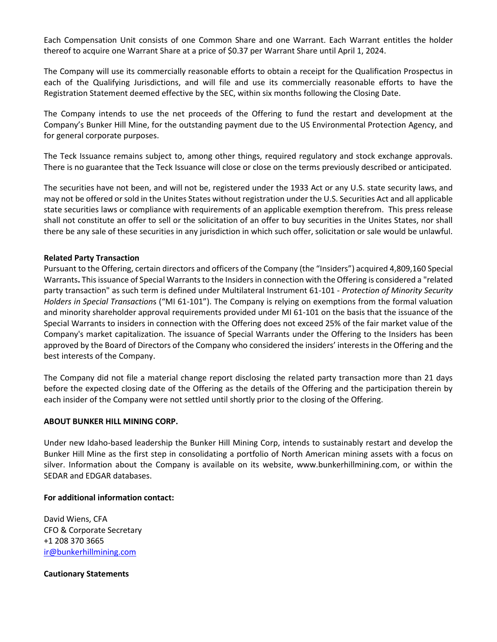Each Compensation Unit consists of one Common Share and one Warrant. Each Warrant entitles the holder thereof to acquire one Warrant Share at a price of \$0.37 per Warrant Share until April 1, 2024.

The Company will use its commercially reasonable efforts to obtain a receipt for the Qualification Prospectus in each of the Qualifying Jurisdictions, and will file and use its commercially reasonable efforts to have the Registration Statement deemed effective by the SEC, within six months following the Closing Date.

The Company intends to use the net proceeds of the Offering to fund the restart and development at the Company's Bunker Hill Mine, for the outstanding payment due to the US Environmental Protection Agency, and for general corporate purposes.

The Teck Issuance remains subject to, among other things, required regulatory and stock exchange approvals. There is no guarantee that the Teck Issuance will close or close on the terms previously described or anticipated.

The securities have not been, and will not be, registered under the 1933 Act or any U.S. state security laws, and may not be offered or sold in the Unites States without registration under the U.S. Securities Act and all applicable state securities laws or compliance with requirements of an applicable exemption therefrom. This press release shall not constitute an offer to sell or the solicitation of an offer to buy securities in the Unites States, nor shall there be any sale of these securities in any jurisdiction in which such offer, solicitation or sale would be unlawful.

### **Related Party Transaction**

Pursuant to the Offering, certain directors and officers of the Company (the "Insiders") acquired 4,809,160 Special Warrants**.** This issuance of Special Warrants to the Insiders in connection with the Offering is considered a "related party transaction" as such term is defined under Multilateral Instrument 61-101 - *Protection of Minority Security Holders in Special Transaction*s ("MI 61-101"). The Company is relying on exemptions from the formal valuation and minority shareholder approval requirements provided under MI 61-101 on the basis that the issuance of the Special Warrants to insiders in connection with the Offering does not exceed 25% of the fair market value of the Company's market capitalization. The issuance of Special Warrants under the Offering to the Insiders has been approved by the Board of Directors of the Company who considered the insiders' interests in the Offering and the best interests of the Company.

The Company did not file a material change report disclosing the related party transaction more than 21 days before the expected closing date of the Offering as the details of the Offering and the participation therein by each insider of the Company were not settled until shortly prior to the closing of the Offering.

#### **ABOUT BUNKER HILL MINING CORP.**

Under new Idaho-based leadership the Bunker Hill Mining Corp, intends to sustainably restart and develop the Bunker Hill Mine as the first step in consolidating a portfolio of North American mining assets with a focus on silver. Information about the Company is available on its website, www.bunkerhillmining.com, or within the SEDAR and EDGAR databases.

#### **For additional information contact:**

David Wiens, CFA CFO & Corporate Secretary +1 208 370 3665 [ir@bunkerhillmining.com](mailto:ir@bunkerhillmining.com)

#### **Cautionary Statements**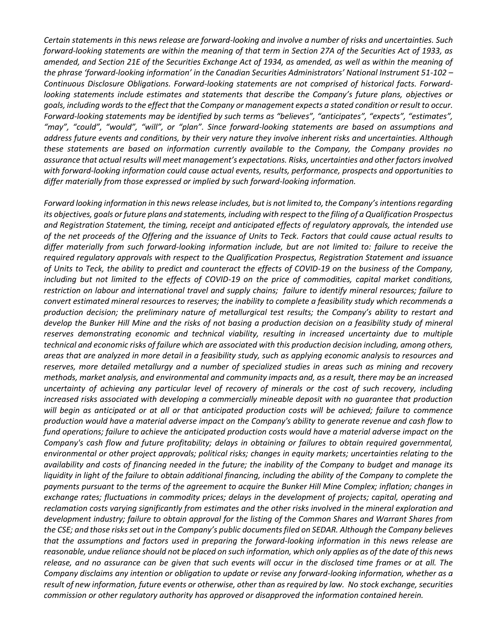*Certain statements in this news release are forward-looking and involve a number of risks and uncertainties. Such forward-looking statements are within the meaning of that term in Section 27A of the Securities Act of 1933, as amended, and Section 21E of the Securities Exchange Act of 1934, as amended, as well as within the meaning of the phrase 'forward-looking information' in the Canadian Securities Administrators' National Instrument 51-102 – Continuous Disclosure Obligations. Forward-looking statements are not comprised of historical facts. Forwardlooking statements include estimates and statements that describe the Company's future plans, objectives or goals, including words to the effect that the Company or management expects a stated condition or result to occur. Forward-looking statements may be identified by such terms as "believes", "anticipates", "expects", "estimates", "may", "could", "would", "will", or "plan". Since forward-looking statements are based on assumptions and address future events and conditions, by their very nature they involve inherent risks and uncertainties. Although these statements are based on information currently available to the Company, the Company provides no assurance that actual results will meet management's expectations. Risks, uncertainties and other factors involved with forward-looking information could cause actual events, results, performance, prospects and opportunities to differ materially from those expressed or implied by such forward-looking information.* 

*Forward looking information in this news release includes, but is not limited to, the Company's intentions regarding its objectives, goals or future plans and statements, including with respect to the filing of a Qualification Prospectus and Registration Statement, the timing, receipt and anticipated effects of regulatory approvals, the intended use of the net proceeds of the Offering and the issuance of Units to Teck. Factors that could cause actual results to differ materially from such forward-looking information include, but are not limited to: failure to receive the required regulatory approvals with respect to the Qualification Prospectus, Registration Statement and issuance of Units to Teck, the ability to predict and counteract the effects of COVID-19 on the business of the Company, including but not limited to the effects of COVID-19 on the price of commodities, capital market conditions, restriction on labour and international travel and supply chains; failure to identify mineral resources; failure to convert estimated mineral resources to reserves; the inability to complete a feasibility study which recommends a production decision; the preliminary nature of metallurgical test results; the Company's ability to restart and develop the Bunker Hill Mine and the risks of not basing a production decision on a feasibility study of mineral reserves demonstrating economic and technical viability, resulting in increased uncertainty due to multiple technical and economic risks of failure which are associated with this production decision including, among others, areas that are analyzed in more detail in a feasibility study, such as applying economic analysis to resources and reserves, more detailed metallurgy and a number of specialized studies in areas such as mining and recovery methods, market analysis, and environmental and community impacts and, as a result, there may be an increased uncertainty of achieving any particular level of recovery of minerals or the cost of such recovery, including increased risks associated with developing a commercially mineable deposit with no guarantee that production will begin as anticipated or at all or that anticipated production costs will be achieved; failure to commence production would have a material adverse impact on the Company's ability to generate revenue and cash flow to fund operations; failure to achieve the anticipated production costs would have a material adverse impact on the Company's cash flow and future profitability; delays in obtaining or failures to obtain required governmental, environmental or other project approvals; political risks; changes in equity markets; uncertainties relating to the availability and costs of financing needed in the future; the inability of the Company to budget and manage its*  liquidity in light of the failure to obtain additional financing, including the ability of the Company to complete the *payments pursuant to the terms of the agreement to acquire the Bunker Hill Mine Complex; inflation; changes in exchange rates; fluctuations in commodity prices; delays in the development of projects; capital, operating and reclamation costs varying significantly from estimates and the other risks involved in the mineral exploration and development industry; failure to obtain approval for the listing of the Common Shares and Warrant Shares from the CSE; and those risks set out in the Company's public documents filed on SEDAR. Although the Company believes that the assumptions and factors used in preparing the forward-looking information in this news release are reasonable, undue reliance should not be placed on such information, which only applies as of the date of this news release, and no assurance can be given that such events will occur in the disclosed time frames or at all. The Company disclaims any intention or obligation to update or revise any forward-looking information, whether as a result of new information, future events or otherwise, other than as required by law. No stock exchange, securities commission or other regulatory authority has approved or disapproved the information contained herein.*